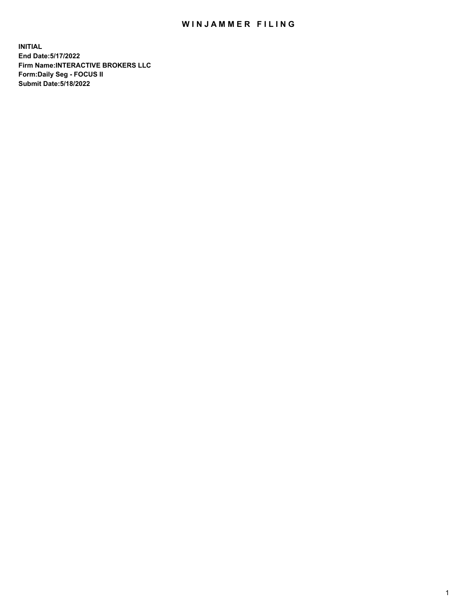## WIN JAMMER FILING

**INITIAL End Date:5/17/2022 Firm Name:INTERACTIVE BROKERS LLC Form:Daily Seg - FOCUS II Submit Date:5/18/2022**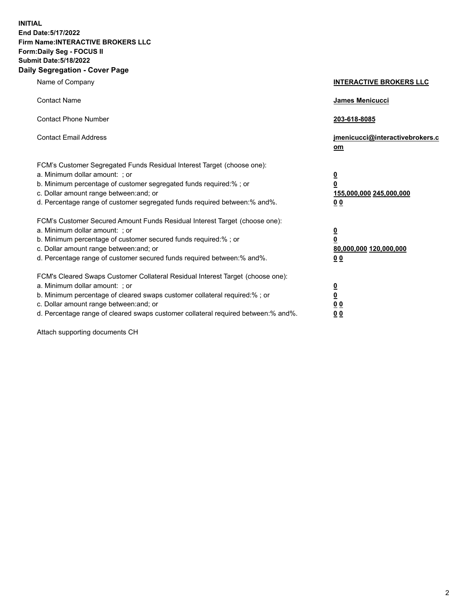**INITIAL End Date:5/17/2022 Firm Name:INTERACTIVE BROKERS LLC Form:Daily Seg - FOCUS II Submit Date:5/18/2022 Daily Segregation - Cover Page**

| Name of Company                                                                                                                                                                                                                                                                                                               | <b>INTERACTIVE BROKERS LLC</b>                                                                  |
|-------------------------------------------------------------------------------------------------------------------------------------------------------------------------------------------------------------------------------------------------------------------------------------------------------------------------------|-------------------------------------------------------------------------------------------------|
| <b>Contact Name</b>                                                                                                                                                                                                                                                                                                           | James Menicucci                                                                                 |
| <b>Contact Phone Number</b>                                                                                                                                                                                                                                                                                                   | 203-618-8085                                                                                    |
| <b>Contact Email Address</b>                                                                                                                                                                                                                                                                                                  | jmenicucci@interactivebrokers.c<br><u>om</u>                                                    |
| FCM's Customer Segregated Funds Residual Interest Target (choose one):<br>a. Minimum dollar amount: ; or<br>b. Minimum percentage of customer segregated funds required:% ; or<br>c. Dollar amount range between: and; or<br>d. Percentage range of customer segregated funds required between:% and%.                        | $\overline{\mathbf{0}}$<br>$\overline{\mathbf{0}}$<br>155,000,000 245,000,000<br>0 <sub>0</sub> |
| FCM's Customer Secured Amount Funds Residual Interest Target (choose one):<br>a. Minimum dollar amount: ; or<br>b. Minimum percentage of customer secured funds required:%; or<br>c. Dollar amount range between: and; or<br>d. Percentage range of customer secured funds required between:% and%.                           | $\overline{\mathbf{0}}$<br>$\overline{\mathbf{0}}$<br>80,000,000 120,000,000<br>0 <sub>0</sub>  |
| FCM's Cleared Swaps Customer Collateral Residual Interest Target (choose one):<br>a. Minimum dollar amount: ; or<br>b. Minimum percentage of cleared swaps customer collateral required:%; or<br>c. Dollar amount range between: and; or<br>d. Percentage range of cleared swaps customer collateral required between:% and%. | $\overline{\mathbf{0}}$<br>$\overline{\mathbf{0}}$<br>0 <sub>0</sub><br>0 <sub>0</sub>          |

Attach supporting documents CH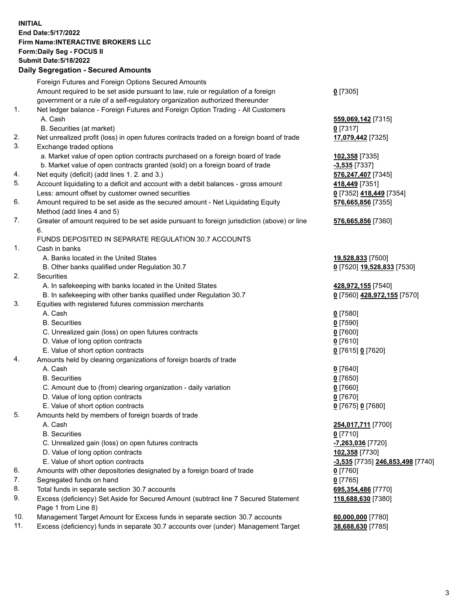**INITIAL End Date:5/17/2022 Firm Name:INTERACTIVE BROKERS LLC Form:Daily Seg - FOCUS II Submit Date:5/18/2022 Daily Segregation - Secured Amounts**

|     | Foreign Futures and Foreign Options Secured Amounts                                         |                                                   |
|-----|---------------------------------------------------------------------------------------------|---------------------------------------------------|
|     | Amount required to be set aside pursuant to law, rule or regulation of a foreign            | $0$ [7305]                                        |
|     | government or a rule of a self-regulatory organization authorized thereunder                |                                                   |
| 1.  | Net ledger balance - Foreign Futures and Foreign Option Trading - All Customers             |                                                   |
|     | A. Cash                                                                                     | 559,069,142 [7315]                                |
|     | B. Securities (at market)                                                                   | $0$ [7317]                                        |
| 2.  | Net unrealized profit (loss) in open futures contracts traded on a foreign board of trade   | 17,079,442 [7325]                                 |
| 3.  | Exchange traded options                                                                     |                                                   |
|     | a. Market value of open option contracts purchased on a foreign board of trade              | 102,358 [7335]                                    |
|     | b. Market value of open contracts granted (sold) on a foreign board of trade                | $-3,535$ [7337]                                   |
| 4.  | Net equity (deficit) (add lines 1. 2. and 3.)                                               | 576,247,407 [7345]                                |
| 5.  | Account liquidating to a deficit and account with a debit balances - gross amount           | 418,449 [7351]                                    |
|     | Less: amount offset by customer owned securities                                            | 0 [7352] 418,449 [7354]                           |
| 6.  | Amount required to be set aside as the secured amount - Net Liquidating Equity              | 576,665,856 [7355]                                |
|     | Method (add lines 4 and 5)                                                                  |                                                   |
| 7.  | Greater of amount required to be set aside pursuant to foreign jurisdiction (above) or line | 576,665,856 [7360]                                |
|     | 6.<br>FUNDS DEPOSITED IN SEPARATE REGULATION 30.7 ACCOUNTS                                  |                                                   |
| 1.  | Cash in banks                                                                               |                                                   |
|     | A. Banks located in the United States                                                       |                                                   |
|     |                                                                                             | 19,528,833 [7500]                                 |
| 2.  | B. Other banks qualified under Regulation 30.7<br>Securities                                | 0 [7520] 19,528,833 [7530]                        |
|     | A. In safekeeping with banks located in the United States                                   |                                                   |
|     | B. In safekeeping with other banks qualified under Regulation 30.7                          | 428,972,155 [7540]<br>0 [7560] 428,972,155 [7570] |
| 3.  | Equities with registered futures commission merchants                                       |                                                   |
|     | A. Cash                                                                                     | $0$ [7580]                                        |
|     | <b>B.</b> Securities                                                                        | $0$ [7590]                                        |
|     | C. Unrealized gain (loss) on open futures contracts                                         | $0$ [7600]                                        |
|     | D. Value of long option contracts                                                           | $0$ [7610]                                        |
|     | E. Value of short option contracts                                                          | 0 [7615] 0 [7620]                                 |
| 4.  | Amounts held by clearing organizations of foreign boards of trade                           |                                                   |
|     | A. Cash                                                                                     | $Q$ [7640]                                        |
|     | <b>B.</b> Securities                                                                        | $0$ [7650]                                        |
|     | C. Amount due to (from) clearing organization - daily variation                             | $0$ [7660]                                        |
|     | D. Value of long option contracts                                                           | $0$ [7670]                                        |
|     | E. Value of short option contracts                                                          | 0 [7675] 0 [7680]                                 |
| 5.  | Amounts held by members of foreign boards of trade                                          |                                                   |
|     | A. Cash                                                                                     | 254,017,711 [7700]                                |
|     | <b>B.</b> Securities                                                                        | $0$ [7710]                                        |
|     | C. Unrealized gain (loss) on open futures contracts                                         | -7,263,036 [7720]                                 |
|     | D. Value of long option contracts                                                           | 102,358 [7730]                                    |
|     | E. Value of short option contracts                                                          | <u>-3,535</u> [7735] 246,853,498 [7740]           |
| 6.  | Amounts with other depositories designated by a foreign board of trade                      | $0$ [7760]                                        |
| 7.  | Segregated funds on hand                                                                    | $0$ [7765]                                        |
| 8.  | Total funds in separate section 30.7 accounts                                               | 695,354,486 [7770]                                |
| 9.  | Excess (deficiency) Set Aside for Secured Amount (subtract line 7 Secured Statement         | 118,688,630 [7380]                                |
|     | Page 1 from Line 8)                                                                         |                                                   |
| 10. | Management Target Amount for Excess funds in separate section 30.7 accounts                 | 80,000,000 [7780]                                 |
| 11. | Excess (deficiency) funds in separate 30.7 accounts over (under) Management Target          | 38,688,630 [7785]                                 |
|     |                                                                                             |                                                   |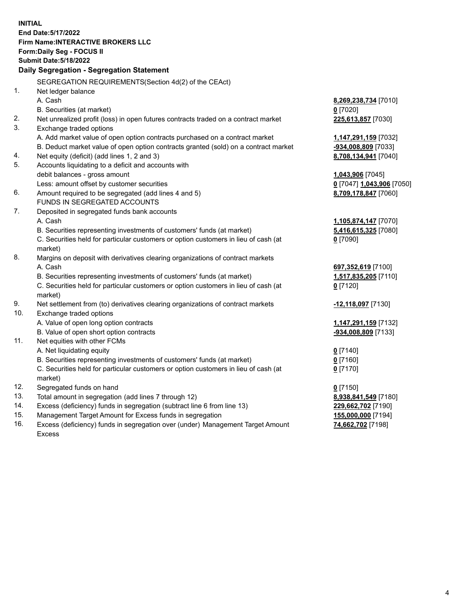**INITIAL End Date:5/17/2022 Firm Name:INTERACTIVE BROKERS LLC Form:Daily Seg - FOCUS II Submit Date:5/18/2022 Daily Segregation - Segregation Statement** SEGREGATION REQUIREMENTS(Section 4d(2) of the CEAct) 1. Net ledger balance A. Cash **8,269,238,734** [7010] B. Securities (at market) **0** [7020] 2. Net unrealized profit (loss) in open futures contracts traded on a contract market **225,613,857** [7030] 3. Exchange traded options A. Add market value of open option contracts purchased on a contract market **1,147,291,159** [7032] B. Deduct market value of open option contracts granted (sold) on a contract market **-934,008,809** [7033] 4. Net equity (deficit) (add lines 1, 2 and 3) **8,708,134,941** [7040] 5. Accounts liquidating to a deficit and accounts with debit balances - gross amount **1,043,906** [7045] Less: amount offset by customer securities **0** [7047] **1,043,906** [7050] 6. Amount required to be segregated (add lines 4 and 5) **8,709,178,847** [7060] FUNDS IN SEGREGATED ACCOUNTS 7. Deposited in segregated funds bank accounts A. Cash **1,105,874,147** [7070] B. Securities representing investments of customers' funds (at market) **5,416,615,325** [7080] C. Securities held for particular customers or option customers in lieu of cash (at market) **0** [7090] 8. Margins on deposit with derivatives clearing organizations of contract markets A. Cash **697,352,619** [7100] B. Securities representing investments of customers' funds (at market) **1,517,835,205** [7110] C. Securities held for particular customers or option customers in lieu of cash (at market) **0** [7120] 9. Net settlement from (to) derivatives clearing organizations of contract markets **-12,118,097** [7130] 10. Exchange traded options A. Value of open long option contracts **1,147,291,159** [7132] B. Value of open short option contracts **and the set of open short option contracts -934,008,809** [7133] 11. Net equities with other FCMs A. Net liquidating equity **0** [7140] B. Securities representing investments of customers' funds (at market) **0** [7160] C. Securities held for particular customers or option customers in lieu of cash (at market) **0** [7170] 12. Segregated funds on hand **0** [7150] 13. Total amount in segregation (add lines 7 through 12) **8,938,841,549** [7180] 14. Excess (deficiency) funds in segregation (subtract line 6 from line 13) **229,662,702** [7190] 15. Management Target Amount for Excess funds in segregation **155,000,000** [7194] **74,662,702** [7198]

16. Excess (deficiency) funds in segregation over (under) Management Target Amount Excess